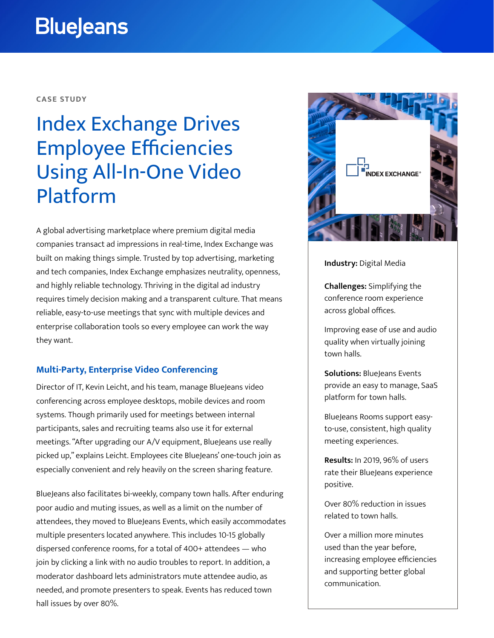# **BlueJeans**

#### **CASE STUDY**

# Index Exchange Drives Employee Efficiencies Using All-In-One Video Platform

A global advertising marketplace where premium digital media companies transact ad impressions in real-time, Index Exchange was built on making things simple. Trusted by top advertising, marketing and tech companies, Index Exchange emphasizes neutrality, openness, and highly reliable technology. Thriving in the digital ad industry requires timely decision making and a transparent culture. That means reliable, easy-to-use meetings that sync with multiple devices and enterprise collaboration tools so every employee can work the way they want.

### **Multi-Party, Enterprise Video Conferencing**

Director of IT, Kevin Leicht, and his team, manage BlueJeans video conferencing across employee desktops, mobile devices and room systems. Though primarily used for meetings between internal participants, sales and recruiting teams also use it for external meetings. "After upgrading our A/V equipment, BlueJeans use really picked up," explains Leicht. Employees cite BlueJeans' one-touch join as especially convenient and rely heavily on the screen sharing feature.

BlueJeans also facilitates bi-weekly, company town halls. After enduring poor audio and muting issues, as well as a limit on the number of attendees, they moved to BlueJeans Events, which easily accommodates multiple presenters located anywhere. This includes 10-15 globally dispersed conference rooms, for a total of 400+ attendees — who join by clicking a link with no audio troubles to report. In addition, a moderator dashboard lets administrators mute attendee audio, as needed, and promote presenters to speak. Events has reduced town hall issues by over 80%.



#### **Industry:** Digital Media

**Challenges:** Simplifying the conference room experience across global offices.

Improving ease of use and audio quality when virtually joining town halls.

**Solutions: BlueJeans Events** provide an easy to manage, SaaS platform for town halls.

BlueJeans Rooms support easyto-use, consistent, high quality meeting experiences.

**Results:** In 2019, 96% of users rate their BlueJeans experience positive.

Over 80% reduction in issues related to town halls.

Over a million more minutes used than the year before, increasing employee efficiencies and supporting better global communication.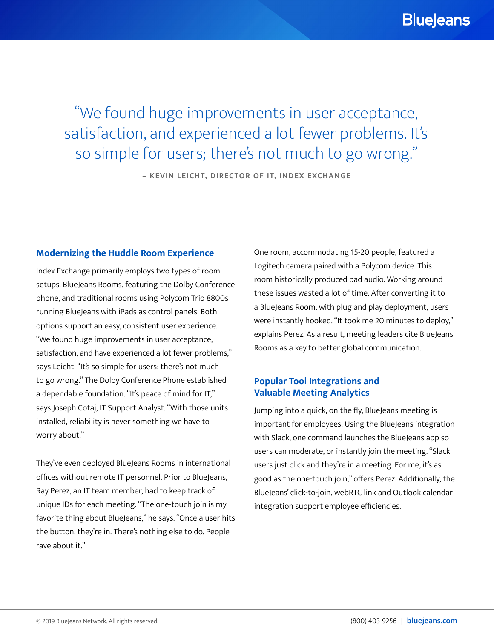"We found huge improvements in user acceptance, satisfaction, and experienced a lot fewer problems. It's so simple for users; there's not much to go wrong."

**– KEVIN LEICHT, DIRECTOR OF IT, INDEX EXCHANGE**

### **Modernizing the Huddle Room Experience**

Index Exchange primarily employs two types of room setups. BlueJeans Rooms, featuring the Dolby Conference phone, and traditional rooms using Polycom Trio 8800s running BlueJeans with iPads as control panels. Both options support an easy, consistent user experience. "We found huge improvements in user acceptance, satisfaction, and have experienced a lot fewer problems," says Leicht. "It's so simple for users; there's not much to go wrong." The Dolby Conference Phone established a dependable foundation. "It's peace of mind for IT," says Joseph Cotaj, IT Support Analyst. "With those units installed, reliability is never something we have to worry about."

They've even deployed BlueJeans Rooms in international offices without remote IT personnel. Prior to BlueJeans, Ray Perez, an IT team member, had to keep track of unique IDs for each meeting. "The one-touch join is my favorite thing about BlueJeans," he says. "Once a user hits the button, they're in. There's nothing else to do. People rave about it."

One room, accommodating 15-20 people, featured a Logitech camera paired with a Polycom device. This room historically produced bad audio. Working around these issues wasted a lot of time. After converting it to a BlueJeans Room, with plug and play deployment, users were instantly hooked. "It took me 20 minutes to deploy," explains Perez. As a result, meeting leaders cite BlueJeans Rooms as a key to better global communication.

## **Popular Tool Integrations and Valuable Meeting Analytics**

Jumping into a quick, on the fly, BlueJeans meeting is important for employees. Using the BlueJeans integration with Slack, one command launches the BlueJeans app so users can moderate, or instantly join the meeting. "Slack users just click and they're in a meeting. For me, it's as good as the one-touch join," offers Perez. Additionally, the BlueJeans' click-to-join, webRTC link and Outlook calendar integration support employee efficiencies.